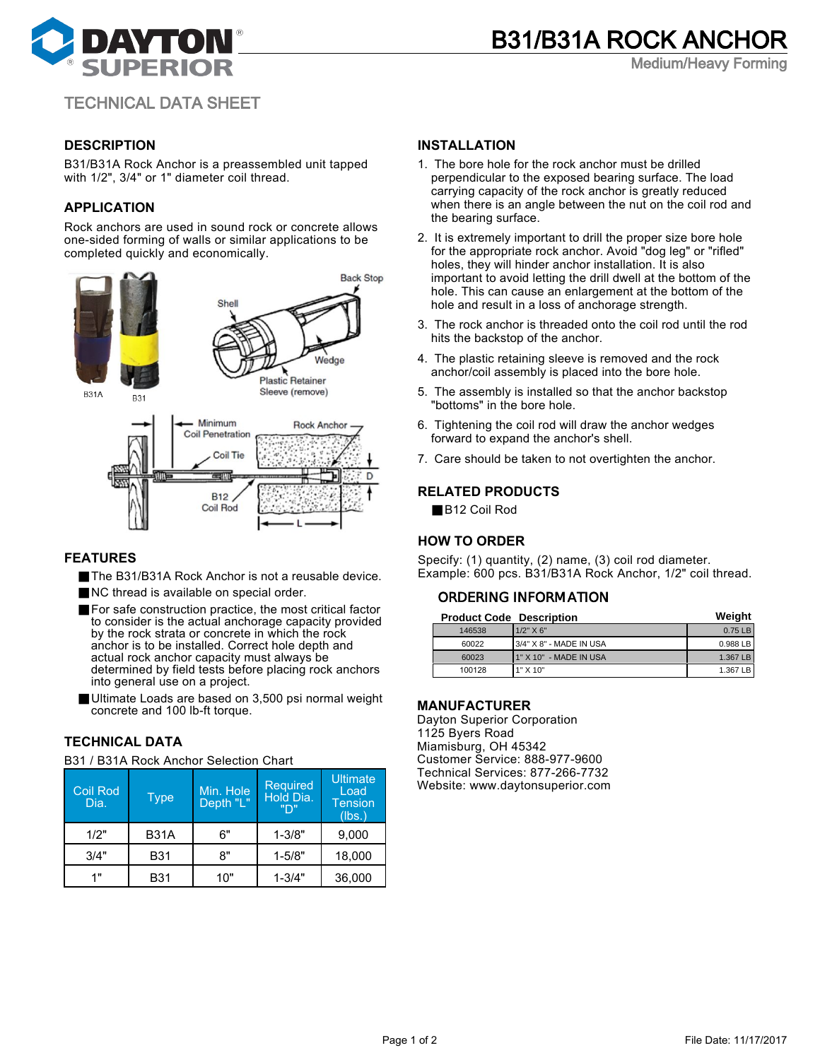

Medium/Heavy Forming

# TECHNICAL DATA SHEET

# **DESCRIPTION**

B31/B31A Rock Anchor is a preassembled unit tapped with 1/2", 3/4" or 1" diameter coil thread.

# **APPLICATION**

Rock anchors are used in sound rock or concrete allows one-sided forming of walls or similar applications to be completed quickly and economically.



#### **FEATURES**

- The B31/B31A Rock Anchor is not a reusable device.
- NC thread is available on special order.
- For safe construction practice, the most critical factor to consider is the actual anchorage capacity provided by the rock strata or concrete in which the rock anchor is to be installed. Correct hole depth and actual rock anchor capacity must always be determined by field tests before placing rock anchors into general use on a project.
- Ultimate Loads are based on 3,500 psi normal weight concrete and 100 lb-ft torque.

# **TECHNICAL DATA**

B31 / B31A Rock Anchor Selection Chart

| <b>Coil Rod</b><br>Dia. | Type        | Min. Hole<br>Depth "L" | <b>Required</b><br>Hold Dia.<br>"ירו | Ultimate<br>Load<br><b>Tension</b><br>(lbs.) |
|-------------------------|-------------|------------------------|--------------------------------------|----------------------------------------------|
| 1/2"                    | <b>B31A</b> | 6"                     | $1 - 3/8"$                           | 9,000                                        |
| 3/4"                    | <b>B31</b>  | ጸ"                     | $1 - 5/8"$                           | 18,000                                       |
| 1"                      | <b>B31</b>  | 10"                    | $1 - 3/4"$                           | 36,000                                       |

#### **INSTALLATION**

- 1. The bore hole for the rock anchor must be drilled perpendicular to the exposed bearing surface. The load carrying capacity of the rock anchor is greatly reduced when there is an angle between the nut on the coil rod and the bearing surface.
- 2. It is extremely important to drill the proper size bore hole for the appropriate rock anchor. Avoid "dog leg" or "rifled" holes, they will hinder anchor installation. It is also important to avoid letting the drill dwell at the bottom of the hole. This can cause an enlargement at the bottom of the hole and result in a loss of anchorage strength.
- 3. The rock anchor is threaded onto the coil rod until the rod hits the backstop of the anchor.
- 4. The plastic retaining sleeve is removed and the rock anchor/coil assembly is placed into the bore hole.
- 5. The assembly is installed so that the anchor backstop "bottoms" in the bore hole.
- 6. Tightening the coil rod will draw the anchor wedges forward to expand the anchor's shell.
- 7. Care should be taken to not overtighten the anchor.

#### **RELATED PRODUCTS**

■ B12 Coil Rod

# **HOW TO ORDER**

Specify: (1) quantity, (2) name, (3) coil rod diameter. Example: 600 pcs. B31/B31A Rock Anchor, 1/2" coil thread.

# ORDERING INFORMATION

| <b>Product Code Description</b> |                         | Weight   |
|---------------------------------|-------------------------|----------|
| 146538                          | $1/2"$ X 6"             | 0.75 LB  |
| 60022                           | 3/4" X 8" - MADE IN USA | 0.988 LB |
| 60023                           | 1" X 10" - MADE IN USA  | 1.367 LB |
| 100128                          | 1" X 10"                | 1.367 LB |

#### **MANUFACTURER**

Dayton Superior Corporation 1125 Byers Road Miamisburg, OH 45342 Customer Service: 888-977-9600 Technical Services: 877-266-7732 Website: www.daytonsuperior.com